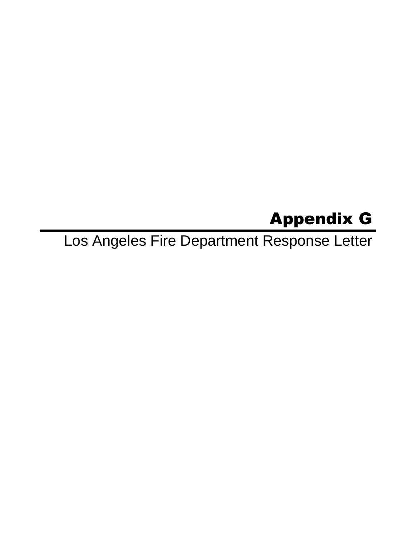# Appendix G

Los Angeles Fire Department Response Letter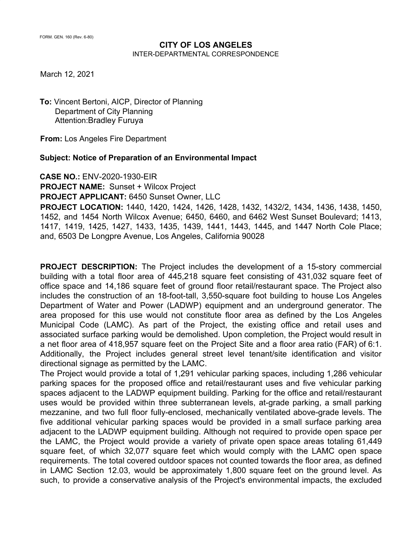# **CITY OF LOS ANGELES**

INTER-DEPARTMENTAL CORRESPONDENCE

March 12, 2021

**To:** Vincent Bertoni, AICP, Director of Planning Department of City Planning Attention:Bradley Furuya

**From:** Los Angeles Fire Department

**Subject: Notice of Preparation of an Environmental Impact**

**CASE NO.:** ENV-2020-1930-EIR

**PROJECT NAME:** Sunset + Wilcox Project

**PROJECT APPLICANT:** 6450 Sunset Owner, LLC

**PROJECT LOCATION:** 1440, 1420, 1424, 1426, 1428, 1432, 1432/2, 1434, 1436, 1438, 1450, 1452, and 1454 North Wilcox Avenue; 6450, 6460, and 6462 West Sunset Boulevard; 1413, 1417, 1419, 1425, 1427, 1433, 1435, 1439, 1441, 1443, 1445, and 1447 North Cole Place; and, 6503 De Longpre Avenue, Los Angeles, California 90028

**PROJECT DESCRIPTION:** The Project includes the development of a 15-story commercial building with a total floor area of 445,218 square feet consisting of 431,032 square feet of office space and 14,186 square feet of ground floor retail/restaurant space. The Project also includes the construction of an 18-foot-tall, 3,550-square foot building to house Los Angeles Department of Water and Power (LADWP) equipment and an underground generator. The area proposed for this use would not constitute floor area as defined by the Los Angeles Municipal Code (LAMC). As part of the Project, the existing office and retail uses and associated surface parking would be demolished. Upon completion, the Project would result in a net floor area of 418,957 square feet on the Project Site and a floor area ratio (FAR) of 6:1. Additionally, the Project includes general street level tenant/site identification and visitor directional signage as permitted by the LAMC.

The Project would provide a total of 1,291 vehicular parking spaces, including 1,286 vehicular parking spaces for the proposed office and retail/restaurant uses and five vehicular parking spaces adjacent to the LADWP equipment building. Parking for the office and retail/restaurant uses would be provided within three subterranean levels, at-grade parking, a small parking mezzanine, and two full floor fully-enclosed, mechanically ventilated above-grade levels. The five additional vehicular parking spaces would be provided in a small surface parking area adjacent to the LADWP equipment building. Although not required to provide open space per the LAMC, the Project would provide a variety of private open space areas totaling 61,449 square feet, of which 32,077 square feet which would comply with the LAMC open space requirements. The total covered outdoor spaces not counted towards the floor area, as defined in LAMC Section 12.03, would be approximately 1,800 square feet on the ground level. As such, to provide a conservative analysis of the Project's environmental impacts, the excluded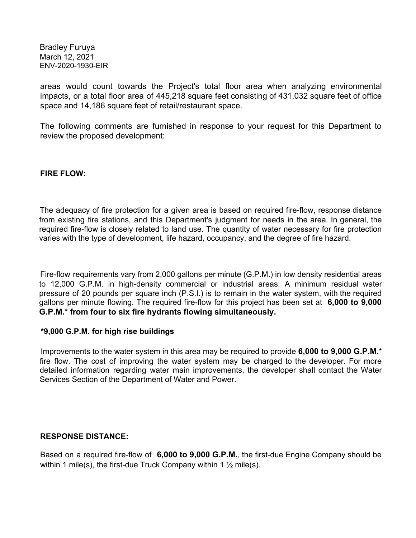areas would count towards the Project's total floor area when analyzing environmental impacts, or a total floor area of 445,218 square feet consisting of 431,032 square feet of office space and 14,186 square feet of retail/restaurant space.

The following comments are furnished in response to your request for this Department to review the proposed development:

**FIRE FLOW:**

The adequacy of fire protection for a given area is based on required fire-flow, response distance from existing fire stations, and this Department's judgment for needs in the area. In general, the required fire-flow is closely related to land use. The quantity of water necessary for fire protection varies with the type of development, life hazard, occupancy, and the degree of fire hazard.

Fire-flow requirements vary from 2,000 gallons per minute (G.P.M.) in low density residential areas to 12,000 G.P.M. in high-density commercial or industrial areas. A minimum residual water pressure of 20 pounds per square inch (P.S.I.) is to remain in the water system, with the required gallons per minute flowing. The required fire-flow for this project has been set at **6,000 to 9,000 G.P.M.\* from four to six fire hydrants flowing simultaneously.**

#### **\*9,000 G.P.M. for high rise buildings**

Improvements to the water system in this area may be required to provide **6,000 to 9,000 G.P.M.**\* fire flow. The cost of improving the water system may be charged to the developer. For more detailed information regarding water main improvements, the developer shall contact the Water Services Section of the Department of Water and Power.

#### **RESPONSE DISTANCE:**

Based on a required fire-flow of **6,000 to 9,000 G.P.M.**, the first-due Engine Company should be within 1 mile(s), the first-due Truck Company within 1  $\frac{1}{2}$  mile(s).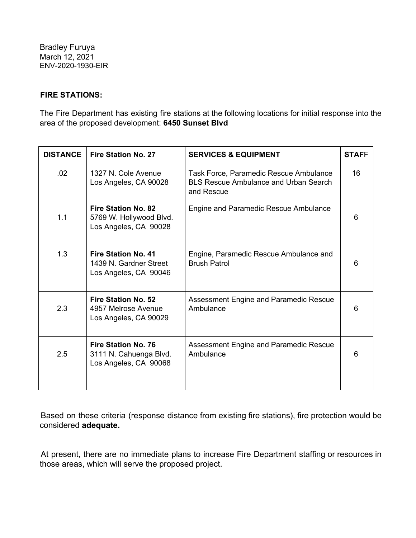## **FIRE STATIONS:**

The Fire Department has existing fire stations at the following locations for initial response into the area of the proposed development: **6450 Sunset Blvd**

| <b>DISTANCE</b> | <b>Fire Station No. 27</b>                                                     | <b>SERVICES &amp; EQUIPMENT</b>                                                                      | <b>STAFF</b> |
|-----------------|--------------------------------------------------------------------------------|------------------------------------------------------------------------------------------------------|--------------|
| .02             | 1327 N. Cole Avenue<br>Los Angeles, CA 90028                                   | Task Force, Paramedic Rescue Ambulance<br><b>BLS Rescue Ambulance and Urban Search</b><br>and Rescue | 16           |
| 1.1             | <b>Fire Station No. 82</b><br>5769 W. Hollywood Blvd.<br>Los Angeles, CA 90028 | Engine and Paramedic Rescue Ambulance                                                                | 6            |
| 1.3             | <b>Fire Station No. 41</b><br>1439 N. Gardner Street<br>Los Angeles, CA 90046  | Engine, Paramedic Rescue Ambulance and<br><b>Brush Patrol</b>                                        | 6            |
| 2.3             | Fire Station No. 52<br>4957 Melrose Avenue<br>Los Angeles, CA 90029            | Assessment Engine and Paramedic Rescue<br>Ambulance                                                  | 6            |
| 2.5             | <b>Fire Station No. 76</b><br>3111 N. Cahuenga Blvd.<br>Los Angeles, CA 90068  | Assessment Engine and Paramedic Rescue<br>Ambulance                                                  | 6            |

Based on these criteria (response distance from existing fire stations), fire protection would be considered **adequate.**

At present, there are no immediate plans to increase Fire Department staffing or resources in those areas, which will serve the proposed project.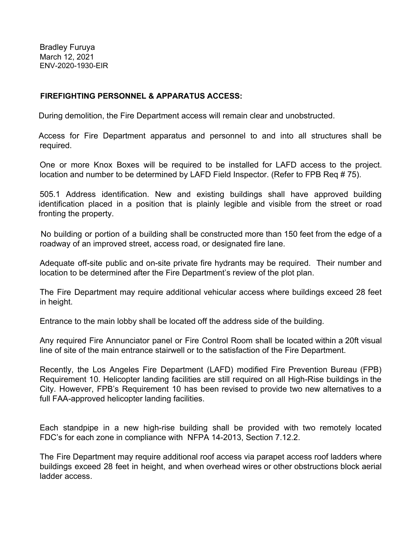## **FIREFIGHTING PERSONNEL & APPARATUS ACCESS:**

During demolition, the Fire Department access will remain clear and unobstructed.

Access for Fire Department apparatus and personnel to and into all structures shall be required.

One or more Knox Boxes will be required to be installed for LAFD access to the project. location and number to be determined by LAFD Field Inspector. (Refer to FPB Req # 75).

505.1 Address identification. New and existing buildings shall have approved building identification placed in a position that is plainly legible and visible from the street or road fronting the property.

No building or portion of a building shall be constructed more than 150 feet from the edge of a roadway of an improved street, access road, or designated fire lane.

Adequate off-site public and on-site private fire hydrants may be required. Their number and location to be determined after the Fire Department's review of the plot plan.

The Fire Department may require additional vehicular access where buildings exceed 28 feet in height.

Entrance to the main lobby shall be located off the address side of the building.

Any required Fire Annunciator panel or Fire Control Room shall be located within a 20ft visual line of site of the main entrance stairwell or to the satisfaction of the Fire Department.

Recently, the Los Angeles Fire Department (LAFD) modified Fire Prevention Bureau (FPB) Requirement 10. Helicopter landing facilities are still required on all High-Rise buildings in the City. However, FPB's Requirement 10 has been revised to provide two new alternatives to a full FAA-approved helicopter landing facilities.

Each standpipe in a new high-rise building shall be provided with two remotely located FDC's for each zone in compliance with NFPA 14-2013, Section 7.12.2.

The Fire Department may require additional roof access via parapet access roof ladders where buildings exceed 28 feet in height, and when overhead wires or other obstructions block aerial ladder access.